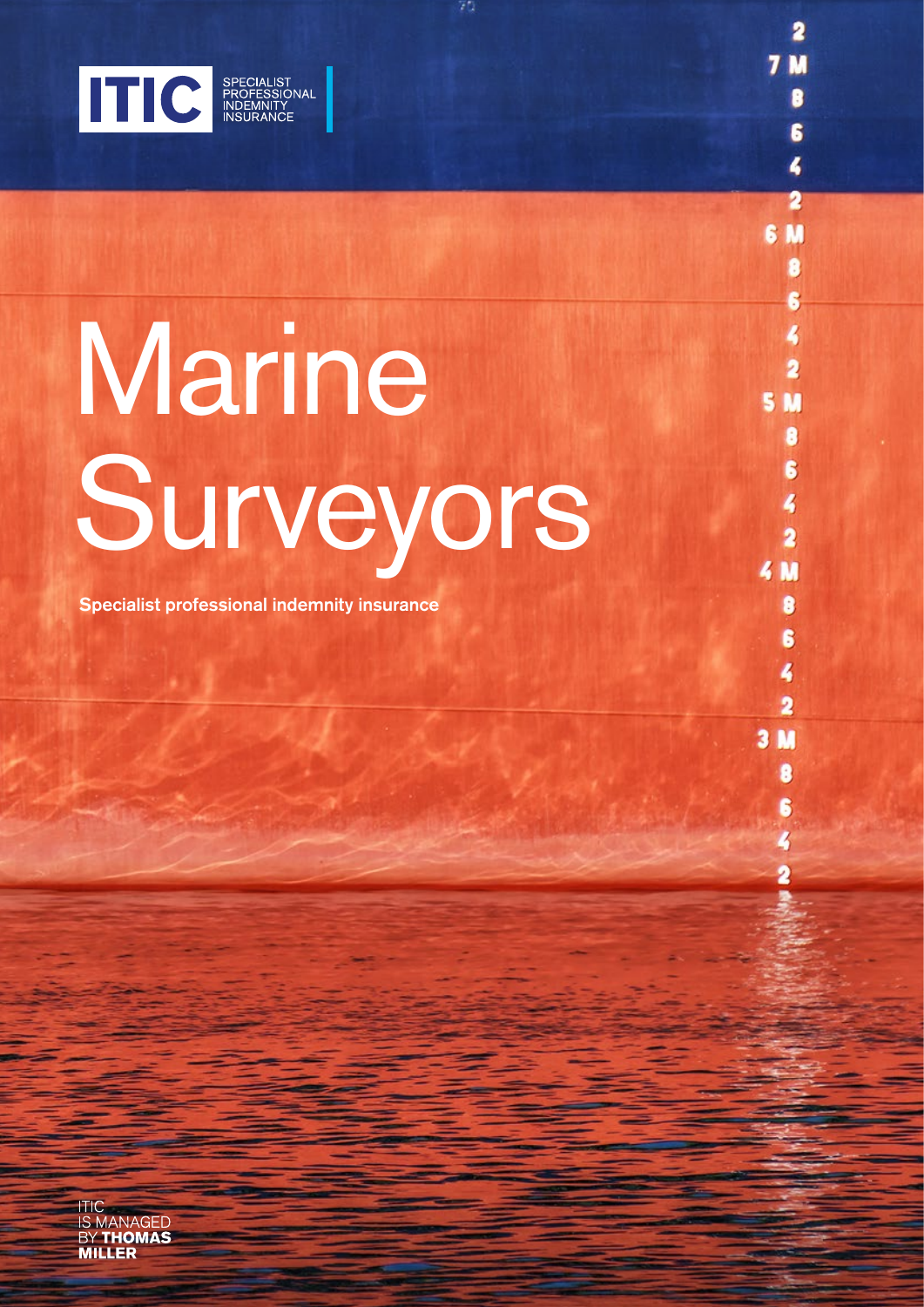

# Marine Surveyors

2

6

4

 $\overline{2}$ 

8

6

 $\blacktriangleleft$ 

 $\overline{\mathbf{2}}$ 

8

6

4

 $\overline{\mathbf{2}}$ 

g

Ġ

4

 $\overline{\mathbf{2}}$ 

 $\bullet$ 

Ŝ

 $3<sub>M</sub>$ 

 $4M$ 

S M

6 M

Specialist professional indemnity insurance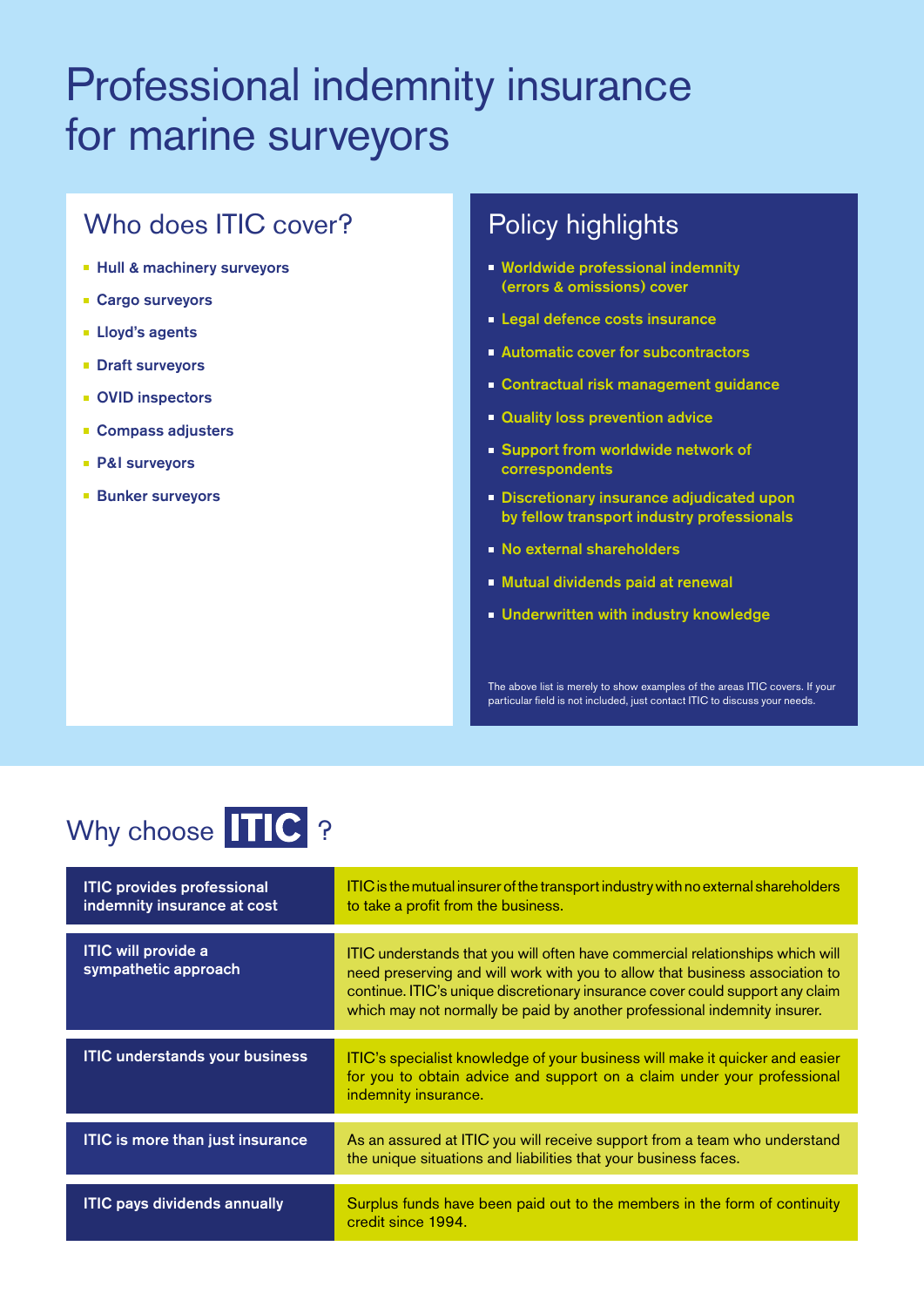## Professional indemnity insurance for marine surveyors

## Who does **ITIC** cover?

- **Hull & machinery surveyors**
- **Cargo surveyors**
- **Lloyd's agents**
- **Draft surveyors**
- **OVID inspectors**
- **Compass adjusters**
- P&I surveyors
- **Bunker surveyors**

### Policy highlights

- **Worldwide professional indemnity** (errors & omissions) cover
- **Legal defence costs insurance**
- **Automatic cover for subcontractors**
- **Contractual risk management guidance**
- **Quality loss prevention advice**
- **Support from worldwide network of** correspondents
- **Discretionary insurance adjudicated upon** by fellow transport industry professionals
- No external shareholders
- **Mutual dividends paid at renewal**
- **Underwritten with industry knowledge**

The above list is merely to show examples of the areas ITIC covers. If your particular field is not included, just contact ITIC to discuss your needs.

## Why choose TTC ?

| <b>ITIC provides professional</b><br>indemnity insurance at cost | ITIC is the mutual insurer of the transport industry with no external shareholders<br>to take a profit from the business.                                                                                                                                                                                                   |
|------------------------------------------------------------------|-----------------------------------------------------------------------------------------------------------------------------------------------------------------------------------------------------------------------------------------------------------------------------------------------------------------------------|
| <b>ITIC will provide a</b><br>sympathetic approach               | ITIC understands that you will often have commercial relationships which will<br>need preserving and will work with you to allow that business association to<br>continue. ITIC's unique discretionary insurance cover could support any claim<br>which may not normally be paid by another professional indemnity insurer. |
| <b>ITIC understands your business</b>                            | ITIC's specialist knowledge of your business will make it quicker and easier<br>for you to obtain advice and support on a claim under your professional<br>indemnity insurance.                                                                                                                                             |
| <b>ITIC is more than just insurance</b>                          | As an assured at ITIC you will receive support from a team who understand<br>the unique situations and liabilities that your business faces.                                                                                                                                                                                |
| <b>ITIC pays dividends annually</b>                              | Surplus funds have been paid out to the members in the form of continuity<br>credit since 1994.                                                                                                                                                                                                                             |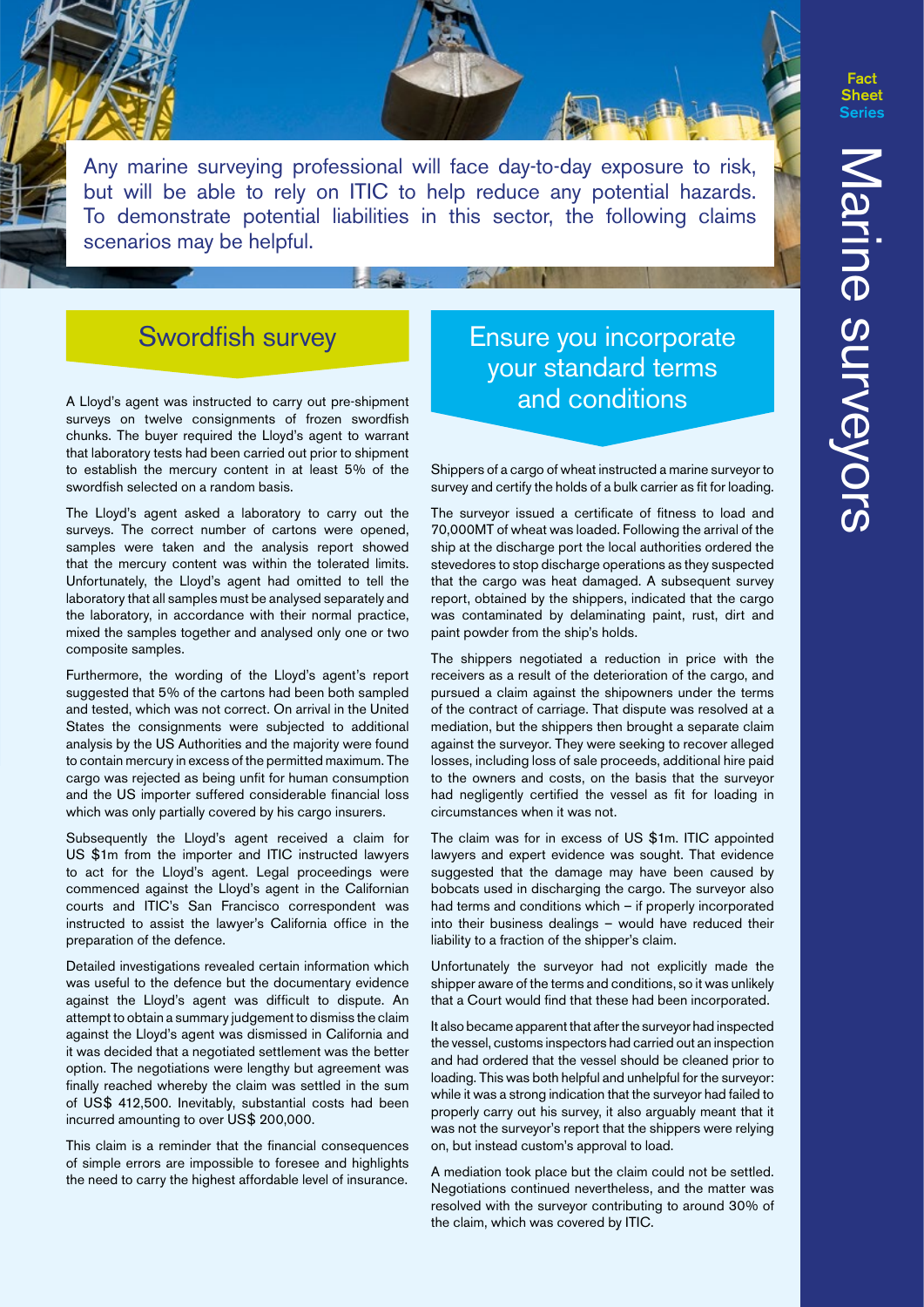**Fact Sheet** 

Any marine surveying professional will face day-to-day exposure to risk, but will be able to rely on ITIC to help reduce any potential hazards. To demonstrate potential liabilities in this sector, the following claims scenarios may be helpful.

## Swordfish survey

A Lloyd's agent was instructed to carry out pre-shipment surveys on twelve consignments of frozen swordfish chunks. The buyer required the Lloyd's agent to warrant that laboratory tests had been carried out prior to shipment to establish the mercury content in at least 5% of the swordfish selected on a random basis.

The Lloyd's agent asked a laboratory to carry out the surveys. The correct number of cartons were opened, samples were taken and the analysis report showed that the mercury content was within the tolerated limits. Unfortunately, the Lloyd's agent had omitted to tell the laboratory that all samples must be analysed separately and the laboratory, in accordance with their normal practice, mixed the samples together and analysed only one or two composite samples.

Furthermore, the wording of the Lloyd's agent's report suggested that 5% of the cartons had been both sampled and tested, which was not correct. On arrival in the United States the consignments were subjected to additional analysis by the US Authorities and the majority were found to contain mercury in excess of the permitted maximum. The cargo was rejected as being unfit for human consumption and the US importer suffered considerable financial loss which was only partially covered by his cargo insurers.

Subsequently the Lloyd's agent received a claim for US \$1m from the importer and ITIC instructed lawyers to act for the Lloyd's agent. Legal proceedings were commenced against the Lloyd's agent in the Californian courts and ITIC's San Francisco correspondent was instructed to assist the lawyer's California office in the preparation of the defence.

Detailed investigations revealed certain information which was useful to the defence but the documentary evidence against the Lloyd's agent was difficult to dispute. An attempt to obtain a summary judgement to dismiss the claim against the Lloyd's agent was dismissed in California and it was decided that a negotiated settlement was the better option. The negotiations were lengthy but agreement was finally reached whereby the claim was settled in the sum of US\$ 412,500. Inevitably, substantial costs had been incurred amounting to over US\$ 200,000.

This claim is a reminder that the financial consequences of simple errors are impossible to foresee and highlights the need to carry the highest affordable level of insurance.

#### Ensure you incorporate your standard terms and conditions

Shippers of a cargo of wheat instructed a marine surveyor to survey and certify the holds of a bulk carrier as fit for loading.

The surveyor issued a certificate of fitness to load and 70,000MT of wheat was loaded. Following the arrival of the ship at the discharge port the local authorities ordered the stevedores to stop discharge operations as they suspected that the cargo was heat damaged. A subsequent survey report, obtained by the shippers, indicated that the cargo was contaminated by delaminating paint, rust, dirt and paint powder from the ship's holds.

The shippers negotiated a reduction in price with the receivers as a result of the deterioration of the cargo, and pursued a claim against the shipowners under the terms of the contract of carriage. That dispute was resolved at a mediation, but the shippers then brought a separate claim against the surveyor. They were seeking to recover alleged losses, including loss of sale proceeds, additional hire paid to the owners and costs, on the basis that the surveyor had negligently certified the vessel as fit for loading in circumstances when it was not.

The claim was for in excess of US \$1m. ITIC appointed lawyers and expert evidence was sought. That evidence suggested that the damage may have been caused by bobcats used in discharging the cargo. The surveyor also had terms and conditions which – if properly incorporated into their business dealings – would have reduced their liability to a fraction of the shipper's claim.

Unfortunately the surveyor had not explicitly made the shipper aware of the terms and conditions, so it was unlikely that a Court would find that these had been incorporated.

It also became apparent that after the surveyor had inspected the vessel, customs inspectors had carried out an inspection and had ordered that the vessel should be cleaned prior to loading. This was both helpful and unhelpful for the surveyor: while it was a strong indication that the surveyor had failed to properly carry out his survey, it also arguably meant that it was not the surveyor's report that the shippers were relying on, but instead custom's approval to load.

A mediation took place but the claim could not be settled. Negotiations continued nevertheless, and the matter was resolved with the surveyor contributing to around 30% of the claim, which was covered by ITIC.